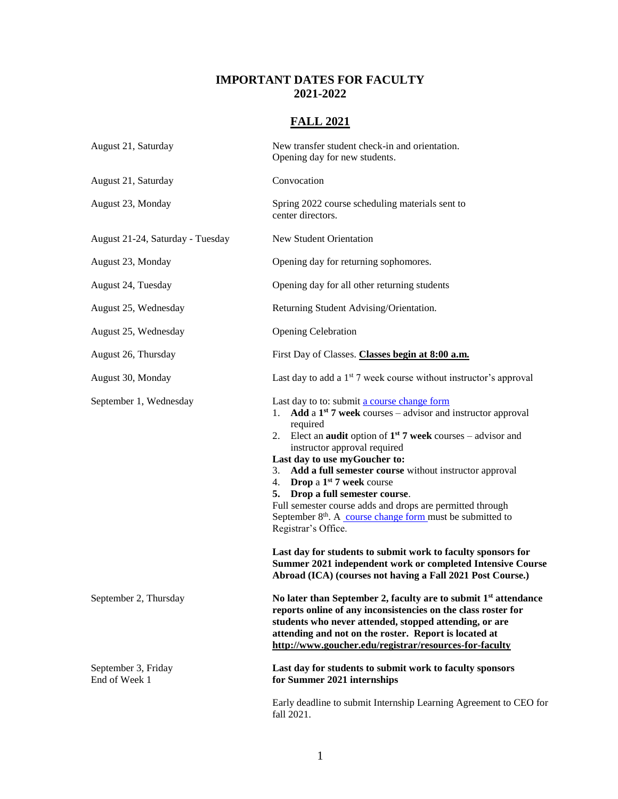## **IMPORTANT DATES FOR FACULTY 2021-2022**

## **FALL 2021**

| August 21, Saturday                  | New transfer student check-in and orientation.<br>Opening day for new students.                                                                                                                                                                                                                                                                                                                                                                                                                                                                                                                                                                                                                                                                                   |
|--------------------------------------|-------------------------------------------------------------------------------------------------------------------------------------------------------------------------------------------------------------------------------------------------------------------------------------------------------------------------------------------------------------------------------------------------------------------------------------------------------------------------------------------------------------------------------------------------------------------------------------------------------------------------------------------------------------------------------------------------------------------------------------------------------------------|
| August 21, Saturday                  | Convocation                                                                                                                                                                                                                                                                                                                                                                                                                                                                                                                                                                                                                                                                                                                                                       |
| August 23, Monday                    | Spring 2022 course scheduling materials sent to<br>center directors.                                                                                                                                                                                                                                                                                                                                                                                                                                                                                                                                                                                                                                                                                              |
| August 21-24, Saturday - Tuesday     | New Student Orientation                                                                                                                                                                                                                                                                                                                                                                                                                                                                                                                                                                                                                                                                                                                                           |
| August 23, Monday                    | Opening day for returning sophomores.                                                                                                                                                                                                                                                                                                                                                                                                                                                                                                                                                                                                                                                                                                                             |
| August 24, Tuesday                   | Opening day for all other returning students                                                                                                                                                                                                                                                                                                                                                                                                                                                                                                                                                                                                                                                                                                                      |
| August 25, Wednesday                 | Returning Student Advising/Orientation.                                                                                                                                                                                                                                                                                                                                                                                                                                                                                                                                                                                                                                                                                                                           |
| August 25, Wednesday                 | <b>Opening Celebration</b>                                                                                                                                                                                                                                                                                                                                                                                                                                                                                                                                                                                                                                                                                                                                        |
| August 26, Thursday                  | First Day of Classes. Classes begin at 8:00 a.m.                                                                                                                                                                                                                                                                                                                                                                                                                                                                                                                                                                                                                                                                                                                  |
| August 30, Monday                    | Last day to add a $1st$ 7 week course without instructor's approval                                                                                                                                                                                                                                                                                                                                                                                                                                                                                                                                                                                                                                                                                               |
| September 1, Wednesday               | Last day to to: submit a course change form<br>1. Add a $1st$ 7 week courses – advisor and instructor approval<br>required<br>2. Elect an <b>audit</b> option of $1^{st}$ 7 week courses – advisor and<br>instructor approval required<br>Last day to use myGoucher to:<br>3. Add a full semester course without instructor approval<br>4. Drop a $1st$ 7 week course<br>5. Drop a full semester course.<br>Full semester course adds and drops are permitted through<br>September 8 <sup>th</sup> . A course change form must be submitted to<br>Registrar's Office.<br>Last day for students to submit work to faculty sponsors for<br>Summer 2021 independent work or completed Intensive Course<br>Abroad (ICA) (courses not having a Fall 2021 Post Course.) |
| September 2, Thursday                | No later than September 2, faculty are to submit $1st$ attendance<br>reports online of any inconsistencies on the class roster for<br>students who never attended, stopped attending, or are<br>attending and not on the roster. Report is located at<br>http://www.goucher.edu/registrar/resources-for-faculty                                                                                                                                                                                                                                                                                                                                                                                                                                                   |
| September 3, Friday<br>End of Week 1 | Last day for students to submit work to faculty sponsors<br>for Summer 2021 internships                                                                                                                                                                                                                                                                                                                                                                                                                                                                                                                                                                                                                                                                           |
|                                      | Early deadline to submit Internship Learning Agreement to CEO for<br>fall 2021.                                                                                                                                                                                                                                                                                                                                                                                                                                                                                                                                                                                                                                                                                   |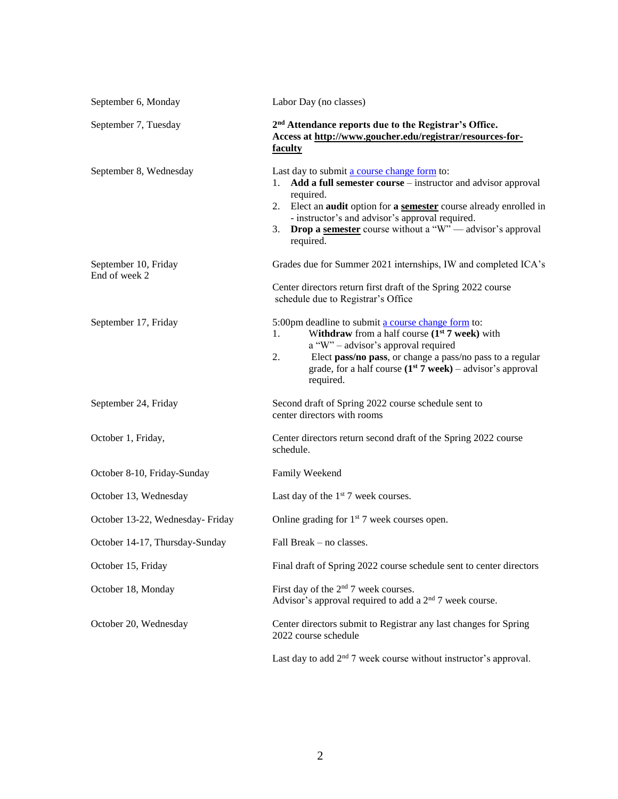| September 6, Monday                   | Labor Day (no classes)                                                                                                                                                                                                                                                                                                                                       |
|---------------------------------------|--------------------------------------------------------------------------------------------------------------------------------------------------------------------------------------------------------------------------------------------------------------------------------------------------------------------------------------------------------------|
| September 7, Tuesday                  | 2 <sup>nd</sup> Attendance reports due to the Registrar's Office.<br>Access at http://www.goucher.edu/registrar/resources-for-<br>faculty                                                                                                                                                                                                                    |
| September 8, Wednesday                | Last day to submit a course change form to:<br>Add a full semester course – instructor and advisor approval<br>1.<br>required.<br>2. Elect an <b>audit</b> option for a <b>semester</b> course already enrolled in<br>- instructor's and advisor's approval required.<br><b>Drop a semester</b> course without a "W" — advisor's approval<br>3.<br>required. |
| September 10, Friday<br>End of week 2 | Grades due for Summer 2021 internships, IW and completed ICA's<br>Center directors return first draft of the Spring 2022 course<br>schedule due to Registrar's Office                                                                                                                                                                                        |
| September 17, Friday                  | 5:00pm deadline to submit a course change form to:<br>Withdraw from a half course $(1st 7$ week) with<br>1.<br>a "W" – advisor's approval required<br>Elect pass/no pass, or change a pass/no pass to a regular<br>2.<br>grade, for a half course $(1st 7 week) -$ advisor's approval<br>required.                                                           |
| September 24, Friday                  | Second draft of Spring 2022 course schedule sent to<br>center directors with rooms                                                                                                                                                                                                                                                                           |
| October 1, Friday,                    | Center directors return second draft of the Spring 2022 course<br>schedule.                                                                                                                                                                                                                                                                                  |
| October 8-10, Friday-Sunday           | Family Weekend                                                                                                                                                                                                                                                                                                                                               |
| October 13, Wednesday                 | Last day of the $1st$ 7 week courses.                                                                                                                                                                                                                                                                                                                        |
| October 13-22, Wednesday- Friday      | Online grading for 1 <sup>st</sup> 7 week courses open.                                                                                                                                                                                                                                                                                                      |
| October 14-17, Thursday-Sunday        | Fall Break – no classes.                                                                                                                                                                                                                                                                                                                                     |
| October 15, Friday                    | Final draft of Spring 2022 course schedule sent to center directors                                                                                                                                                                                                                                                                                          |
| October 18, Monday                    | First day of the 2 <sup>nd</sup> 7 week courses.<br>Advisor's approval required to add a $2nd$ 7 week course.                                                                                                                                                                                                                                                |
| October 20, Wednesday                 | Center directors submit to Registrar any last changes for Spring<br>2022 course schedule                                                                                                                                                                                                                                                                     |
|                                       | Last day to add $2nd$ 7 week course without instructor's approval.                                                                                                                                                                                                                                                                                           |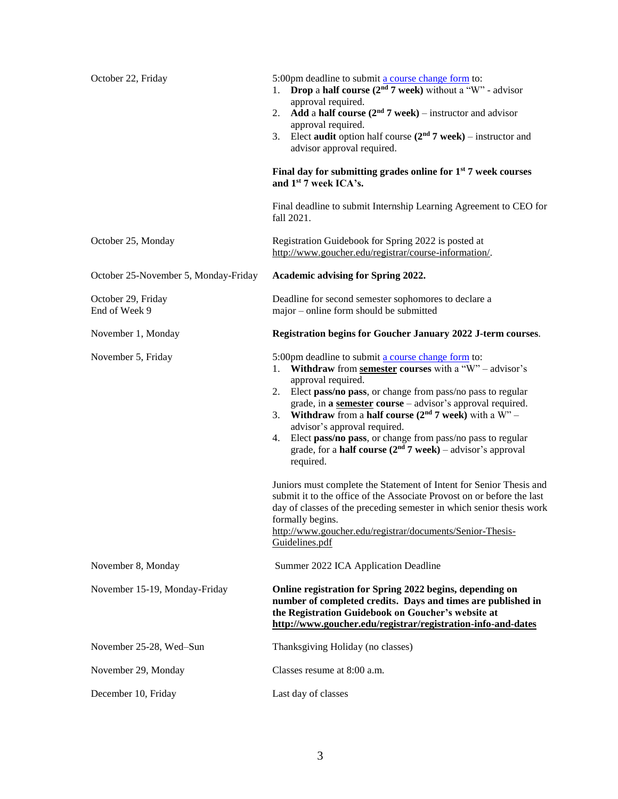| October 22, Friday                   | 5:00pm deadline to submit a course change form to:<br><b>Drop</b> a half course $(2nd 7$ week) without a "W" - advisor<br>1.<br>approval required.<br>Add a half course $(2nd 7$ week) – instructor and advisor<br>2.<br>approval required.<br>Elect audit option half course $(2nd 7$ week) – instructor and<br>3.<br>advisor approval required.<br>Final day for submitting grades online for $1st$ 7 week courses<br>and 1 <sup>st</sup> 7 week ICA's.<br>Final deadline to submit Internship Learning Agreement to CEO for                                                                                                                                                                                                                                                                                                                                               |
|--------------------------------------|------------------------------------------------------------------------------------------------------------------------------------------------------------------------------------------------------------------------------------------------------------------------------------------------------------------------------------------------------------------------------------------------------------------------------------------------------------------------------------------------------------------------------------------------------------------------------------------------------------------------------------------------------------------------------------------------------------------------------------------------------------------------------------------------------------------------------------------------------------------------------|
|                                      | fall 2021.                                                                                                                                                                                                                                                                                                                                                                                                                                                                                                                                                                                                                                                                                                                                                                                                                                                                   |
| October 25, Monday                   | Registration Guidebook for Spring 2022 is posted at<br>http://www.goucher.edu/registrar/course-information/.                                                                                                                                                                                                                                                                                                                                                                                                                                                                                                                                                                                                                                                                                                                                                                 |
| October 25-November 5, Monday-Friday | Academic advising for Spring 2022.                                                                                                                                                                                                                                                                                                                                                                                                                                                                                                                                                                                                                                                                                                                                                                                                                                           |
| October 29, Friday<br>End of Week 9  | Deadline for second semester sophomores to declare a<br>major – online form should be submitted                                                                                                                                                                                                                                                                                                                                                                                                                                                                                                                                                                                                                                                                                                                                                                              |
| November 1, Monday                   | Registration begins for Goucher January 2022 J-term courses.                                                                                                                                                                                                                                                                                                                                                                                                                                                                                                                                                                                                                                                                                                                                                                                                                 |
| November 5, Friday                   | 5:00pm deadline to submit a course change form to:<br>Withdraw from semester courses with a "W" - advisor's<br>1.<br>approval required.<br>Elect pass/no pass, or change from pass/no pass to regular<br>2.<br>grade, in a semester course - advisor's approval required.<br><b>Withdraw</b> from a <b>half course</b> ( $2nd$ 7 week) with a W" –<br>3.<br>advisor's approval required.<br>Elect pass/no pass, or change from pass/no pass to regular<br>4.<br>grade, for a <b>half course</b> $(2nd 7$ week) – advisor's approval<br>required.<br>Juniors must complete the Statement of Intent for Senior Thesis and<br>submit it to the office of the Associate Provost on or before the last<br>day of classes of the preceding semester in which senior thesis work<br>formally begins.<br>http://www.goucher.edu/registrar/documents/Senior-Thesis-<br>Guidelines.pdf |
| November 8, Monday                   | Summer 2022 ICA Application Deadline                                                                                                                                                                                                                                                                                                                                                                                                                                                                                                                                                                                                                                                                                                                                                                                                                                         |
| November 15-19, Monday-Friday        | Online registration for Spring 2022 begins, depending on<br>number of completed credits. Days and times are published in<br>the Registration Guidebook on Goucher's website at<br>http://www.goucher.edu/registrar/registration-info-and-dates                                                                                                                                                                                                                                                                                                                                                                                                                                                                                                                                                                                                                               |
| November 25-28, Wed-Sun              | Thanksgiving Holiday (no classes)                                                                                                                                                                                                                                                                                                                                                                                                                                                                                                                                                                                                                                                                                                                                                                                                                                            |
| November 29, Monday                  | Classes resume at 8:00 a.m.                                                                                                                                                                                                                                                                                                                                                                                                                                                                                                                                                                                                                                                                                                                                                                                                                                                  |
| December 10, Friday                  | Last day of classes                                                                                                                                                                                                                                                                                                                                                                                                                                                                                                                                                                                                                                                                                                                                                                                                                                                          |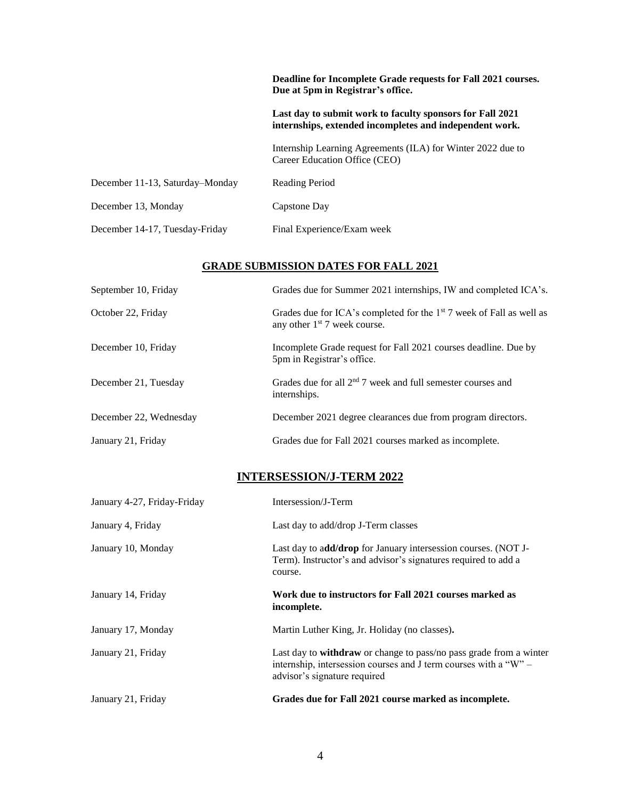|                                 | Deadline for Incomplete Grade requests for Fall 2021 courses.<br>Due at 5pm in Registrar's office.                   |
|---------------------------------|----------------------------------------------------------------------------------------------------------------------|
|                                 | Last day to submit work to faculty sponsors for Fall 2021<br>internships, extended incompletes and independent work. |
|                                 | Internship Learning Agreements (ILA) for Winter 2022 due to<br>Career Education Office (CEO)                         |
| December 11-13, Saturday–Monday | Reading Period                                                                                                       |
| December 13, Monday             | Capstone Day                                                                                                         |
| December 14-17, Tuesday-Friday  | Final Experience/Exam week                                                                                           |

### **GRADE SUBMISSION DATES FOR FALL 2021**

| September 10, Friday   | Grades due for Summer 2021 internships, IW and completed ICA's.                                                    |
|------------------------|--------------------------------------------------------------------------------------------------------------------|
| October 22, Friday     | Grades due for ICA's completed for the 1 <sup>st</sup> 7 week of Fall as well as<br>any other $1st$ 7 week course. |
| December 10, Friday    | Incomplete Grade request for Fall 2021 courses deadline. Due by<br>5pm in Registrar's office.                      |
| December 21, Tuesday   | Grades due for all $2nd$ 7 week and full semester courses and<br>internships.                                      |
| December 22, Wednesday | December 2021 degree clearances due from program directors.                                                        |
| January 21, Friday     | Grades due for Fall 2021 courses marked as incomplete.                                                             |

# **INTERSESSION/J-TERM 2022**

| January 4-27, Friday-Friday | Intersession/J-Term                                                                                                                                                    |
|-----------------------------|------------------------------------------------------------------------------------------------------------------------------------------------------------------------|
| January 4, Friday           | Last day to add/drop J-Term classes                                                                                                                                    |
| January 10, Monday          | Last day to add/drop for January intersession courses. (NOT J-<br>Term). Instructor's and advisor's signatures required to add a<br>course.                            |
| January 14, Friday          | Work due to instructors for Fall 2021 courses marked as<br>incomplete.                                                                                                 |
| January 17, Monday          | Martin Luther King, Jr. Holiday (no classes).                                                                                                                          |
| January 21, Friday          | Last day to withdraw or change to pass/no pass grade from a winter<br>internship, intersession courses and J term courses with a "W" –<br>advisor's signature required |
| January 21, Friday          | Grades due for Fall 2021 course marked as incomplete.                                                                                                                  |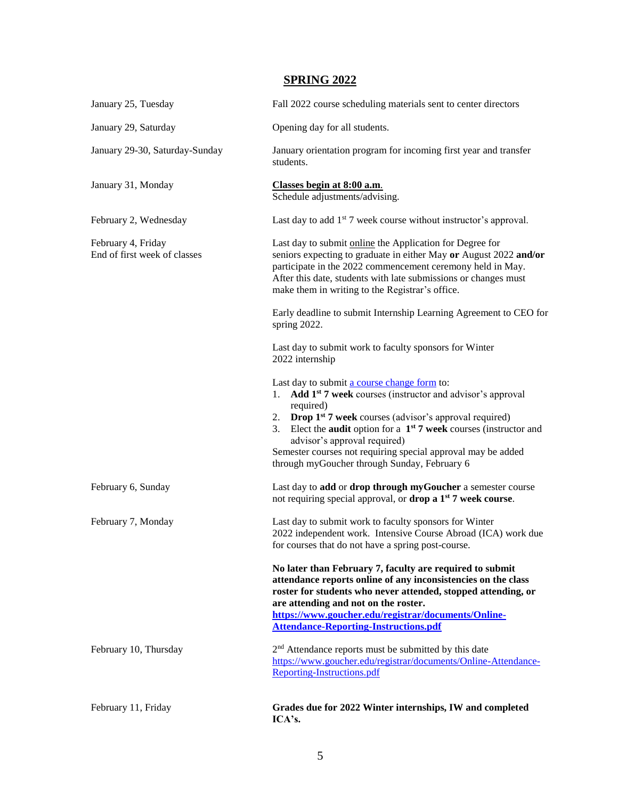# **SPRING 2022**

| January 25, Tuesday                                | Fall 2022 course scheduling materials sent to center directors                                                                                                                                                                                                                                                                                                                                                                          |
|----------------------------------------------------|-----------------------------------------------------------------------------------------------------------------------------------------------------------------------------------------------------------------------------------------------------------------------------------------------------------------------------------------------------------------------------------------------------------------------------------------|
| January 29, Saturday                               | Opening day for all students.                                                                                                                                                                                                                                                                                                                                                                                                           |
| January 29-30, Saturday-Sunday                     | January orientation program for incoming first year and transfer<br>students.                                                                                                                                                                                                                                                                                                                                                           |
| January 31, Monday                                 | Classes begin at 8:00 a.m.<br>Schedule adjustments/advising.                                                                                                                                                                                                                                                                                                                                                                            |
| February 2, Wednesday                              | Last day to add $1st$ 7 week course without instructor's approval.                                                                                                                                                                                                                                                                                                                                                                      |
| February 4, Friday<br>End of first week of classes | Last day to submit online the Application for Degree for<br>seniors expecting to graduate in either May or August 2022 and/or<br>participate in the 2022 commencement ceremony held in May.<br>After this date, students with late submissions or changes must<br>make them in writing to the Registrar's office.                                                                                                                       |
|                                                    | Early deadline to submit Internship Learning Agreement to CEO for<br>spring 2022.                                                                                                                                                                                                                                                                                                                                                       |
|                                                    | Last day to submit work to faculty sponsors for Winter<br>2022 internship                                                                                                                                                                                                                                                                                                                                                               |
|                                                    | Last day to submit a course change form to:<br>Add 1 <sup>st</sup> 7 week courses (instructor and advisor's approval<br>1.<br>required)<br>2. Drop $1st$ 7 week courses (advisor's approval required)<br>Elect the <b>audit</b> option for a $1st 7$ week courses (instructor and<br>3.<br>advisor's approval required)<br>Semester courses not requiring special approval may be added<br>through myGoucher through Sunday, February 6 |
| February 6, Sunday                                 | Last day to add or drop through myGoucher a semester course<br>not requiring special approval, or drop a 1 <sup>st</sup> 7 week course.                                                                                                                                                                                                                                                                                                 |
| February 7, Monday                                 | Last day to submit work to faculty sponsors for Winter<br>2022 independent work. Intensive Course Abroad (ICA) work due<br>for courses that do not have a spring post-course.                                                                                                                                                                                                                                                           |
|                                                    | No later than February 7, faculty are required to submit<br>attendance reports online of any inconsistencies on the class<br>roster for students who never attended, stopped attending, or<br>are attending and not on the roster.<br>https://www.goucher.edu/registrar/documents/Online-<br><b>Attendance-Reporting-Instructions.pdf</b>                                                                                               |
| February 10, Thursday                              | 2 <sup>nd</sup> Attendance reports must be submitted by this date<br>https://www.goucher.edu/registrar/documents/Online-Attendance-<br>Reporting-Instructions.pdf                                                                                                                                                                                                                                                                       |
| February 11, Friday                                | Grades due for 2022 Winter internships, IW and completed<br>ICA's.                                                                                                                                                                                                                                                                                                                                                                      |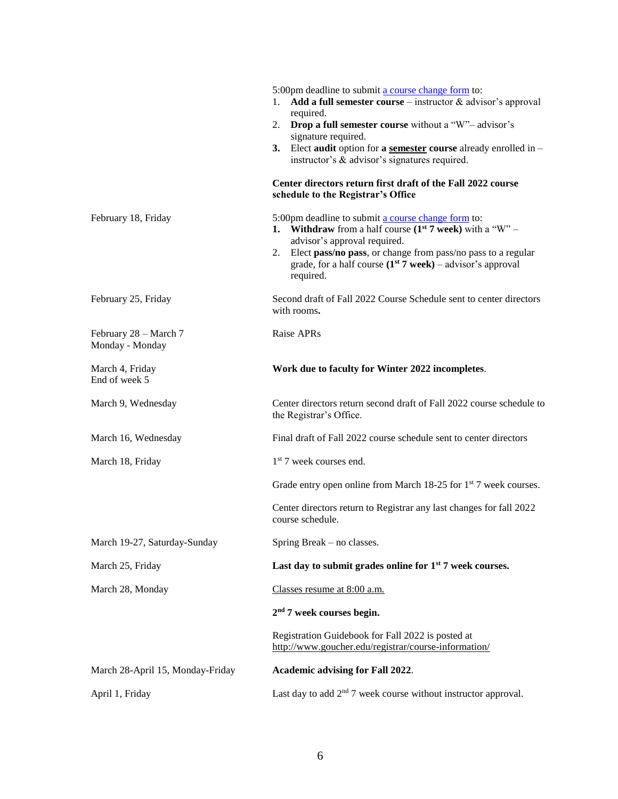|                                          | 5:00pm deadline to submit a course change form to:<br>Add a full semester course – instructor $\&$ advisor's approval<br>1.<br>required.                                                                                                                                                            |
|------------------------------------------|-----------------------------------------------------------------------------------------------------------------------------------------------------------------------------------------------------------------------------------------------------------------------------------------------------|
|                                          | 2. Drop a full semester course without a "W"- advisor's                                                                                                                                                                                                                                             |
|                                          | signature required.<br>3.<br>Elect audit option for a semester course already enrolled in $-$<br>instructor's & advisor's signatures required.                                                                                                                                                      |
|                                          | Center directors return first draft of the Fall 2022 course<br>schedule to the Registrar's Office                                                                                                                                                                                                   |
| February 18, Friday                      | 5:00pm deadline to submit a course change form to:<br>1. Withdraw from a half course $(1^{st} 7$ week) with a "W" –<br>advisor's approval required.<br>2. Elect pass/no pass, or change from pass/no pass to a regular<br>grade, for a half course $(1st 7$ week) – advisor's approval<br>required. |
| February 25, Friday                      | Second draft of Fall 2022 Course Schedule sent to center directors<br>with rooms.                                                                                                                                                                                                                   |
| February 28 - March 7<br>Monday - Monday | Raise APRs                                                                                                                                                                                                                                                                                          |
| March 4, Friday<br>End of week 5         | Work due to faculty for Winter 2022 incompletes.                                                                                                                                                                                                                                                    |
| March 9, Wednesday                       | Center directors return second draft of Fall 2022 course schedule to<br>the Registrar's Office.                                                                                                                                                                                                     |
| March 16, Wednesday                      | Final draft of Fall 2022 course schedule sent to center directors                                                                                                                                                                                                                                   |
| March 18, Friday                         | $1st$ 7 week courses end.                                                                                                                                                                                                                                                                           |
|                                          | Grade entry open online from March 18-25 for 1 <sup>st</sup> 7 week courses.                                                                                                                                                                                                                        |
|                                          | Center directors return to Registrar any last changes for fall 2022<br>course schedule.                                                                                                                                                                                                             |
| March 19-27, Saturday-Sunday             | Spring Break – no classes.                                                                                                                                                                                                                                                                          |
| March 25, Friday                         | Last day to submit grades online for $1st$ 7 week courses.                                                                                                                                                                                                                                          |
| March 28, Monday                         | Classes resume at 8:00 a.m.                                                                                                                                                                                                                                                                         |
|                                          | $2nd$ 7 week courses begin.                                                                                                                                                                                                                                                                         |
|                                          | Registration Guidebook for Fall 2022 is posted at<br>http://www.goucher.edu/registrar/course-information/                                                                                                                                                                                           |
| March 28-April 15, Monday-Friday         | <b>Academic advising for Fall 2022.</b>                                                                                                                                                                                                                                                             |
| April 1, Friday                          | Last day to add $2nd$ 7 week course without instructor approval.                                                                                                                                                                                                                                    |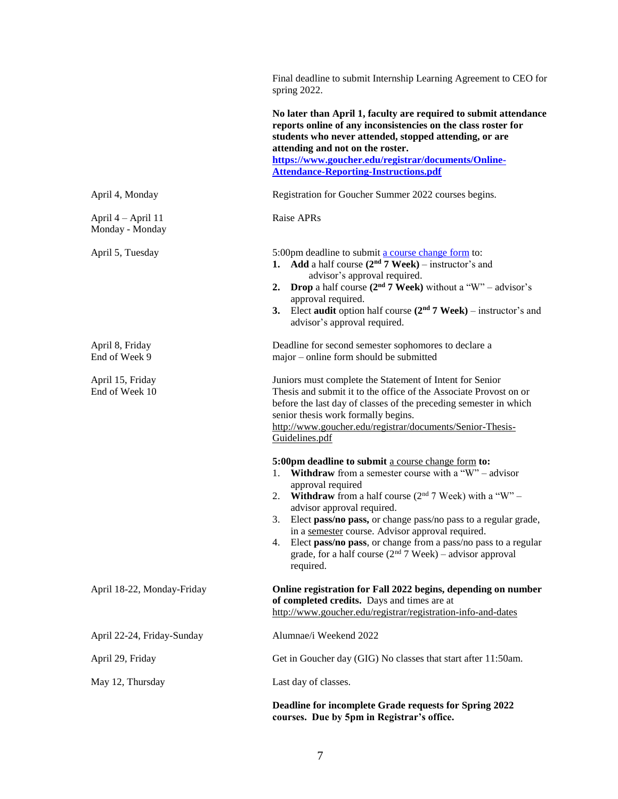|                                       | Final deadline to submit Internship Learning Agreement to CEO for<br>spring 2022.                                                                                                                                                                                                                                                                                                                                                                                                                                    |
|---------------------------------------|----------------------------------------------------------------------------------------------------------------------------------------------------------------------------------------------------------------------------------------------------------------------------------------------------------------------------------------------------------------------------------------------------------------------------------------------------------------------------------------------------------------------|
|                                       | No later than April 1, faculty are required to submit attendance<br>reports online of any inconsistencies on the class roster for<br>students who never attended, stopped attending, or are<br>attending and not on the roster.<br>https://www.goucher.edu/registrar/documents/Online-                                                                                                                                                                                                                               |
|                                       | <b>Attendance-Reporting-Instructions.pdf</b>                                                                                                                                                                                                                                                                                                                                                                                                                                                                         |
| April 4, Monday                       | Registration for Goucher Summer 2022 courses begins.                                                                                                                                                                                                                                                                                                                                                                                                                                                                 |
| April 4 – April 11<br>Monday - Monday | Raise APRs                                                                                                                                                                                                                                                                                                                                                                                                                                                                                                           |
| April 5, Tuesday                      | 5:00pm deadline to submit a course change form to:<br>1. Add a half course $(2nd 7$ Week) – instructor's and<br>advisor's approval required.<br>2. Drop a half course $(2nd 7$ Week) without a "W" – advisor's<br>approval required.<br>Elect audit option half course $(2nd 7 Week)$ – instructor's and<br>3.<br>advisor's approval required.                                                                                                                                                                       |
| April 8, Friday<br>End of Week 9      | Deadline for second semester sophomores to declare a<br>major - online form should be submitted                                                                                                                                                                                                                                                                                                                                                                                                                      |
| April 15, Friday<br>End of Week 10    | Juniors must complete the Statement of Intent for Senior<br>Thesis and submit it to the office of the Associate Provost on or<br>before the last day of classes of the preceding semester in which<br>senior thesis work formally begins.<br>http://www.goucher.edu/registrar/documents/Senior-Thesis-<br>Guidelines.pdf                                                                                                                                                                                             |
|                                       | 5:00pm deadline to submit a course change form to:<br>1. Withdraw from a semester course with a "W" - advisor<br>approval required<br><b>Withdraw</b> from a half course $(2^{nd} 7$ Week) with a "W" –<br>2.<br>advisor approval required.<br>Elect pass/no pass, or change pass/no pass to a regular grade,<br>in a semester course. Advisor approval required.<br>Elect pass/no pass, or change from a pass/no pass to a regular<br>4.<br>grade, for a half course $(2nd 7$ Week) – advisor approval<br>required. |
| April 18-22, Monday-Friday            | Online registration for Fall 2022 begins, depending on number<br>of completed credits. Days and times are at<br>http://www.goucher.edu/registrar/registration-info-and-dates                                                                                                                                                                                                                                                                                                                                         |
| April 22-24, Friday-Sunday            | Alumnae/i Weekend 2022                                                                                                                                                                                                                                                                                                                                                                                                                                                                                               |
| April 29, Friday                      | Get in Goucher day (GIG) No classes that start after 11:50am.                                                                                                                                                                                                                                                                                                                                                                                                                                                        |
| May 12, Thursday                      | Last day of classes.                                                                                                                                                                                                                                                                                                                                                                                                                                                                                                 |
|                                       | Deadline for incomplete Grade requests for Spring 2022<br>courses. Due by 5pm in Registrar's office.                                                                                                                                                                                                                                                                                                                                                                                                                 |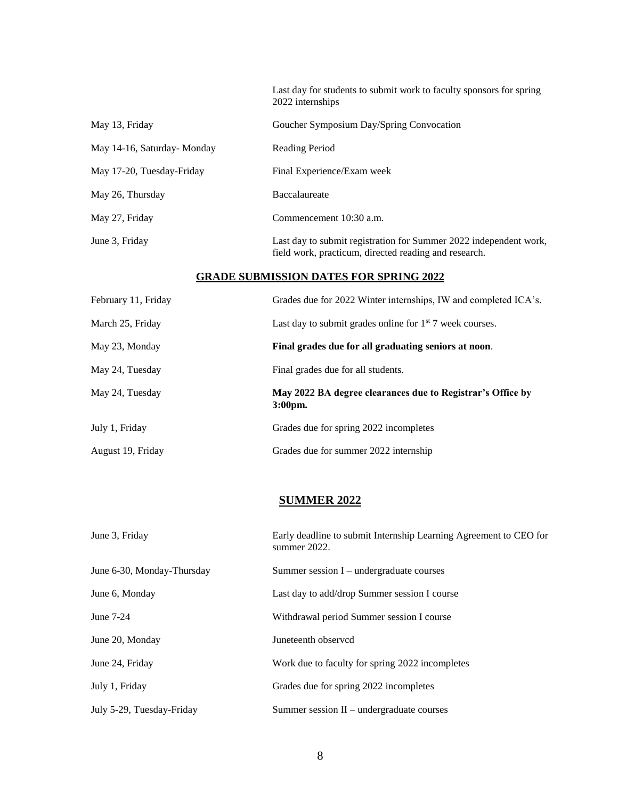Last day for students to submit work to faculty sponsors for spring 2022 internships

| May 13, Friday              | Goucher Symposium Day/Spring Convocation                                                                                   |
|-----------------------------|----------------------------------------------------------------------------------------------------------------------------|
| May 14-16, Saturday- Monday | Reading Period                                                                                                             |
| May 17-20, Tuesday-Friday   | Final Experience/Exam week                                                                                                 |
| May 26, Thursday            | <b>Baccalaureate</b>                                                                                                       |
| May 27, Friday              | Commencement 10:30 a.m.                                                                                                    |
| June 3, Friday              | Last day to submit registration for Summer 2022 independent work,<br>field work, practicum, directed reading and research. |

### **GRADE SUBMISSION DATES FOR SPRING 2022**

| February 11, Friday | Grades due for 2022 Winter internships, IW and completed ICA's.          |
|---------------------|--------------------------------------------------------------------------|
| March 25, Friday    | Last day to submit grades online for $1st$ 7 week courses.               |
| May 23, Monday      | Final grades due for all graduating seniors at noon.                     |
| May 24, Tuesday     | Final grades due for all students.                                       |
| May 24, Tuesday     | May 2022 BA degree clearances due to Registrar's Office by<br>$3:00pm$ . |
| July 1, Friday      | Grades due for spring 2022 incompletes                                   |
| August 19, Friday   | Grades due for summer 2022 internship                                    |

### **SUMMER 2022**

| June 3, Friday             | Early deadline to submit Internship Learning Agreement to CEO for<br>summer 2022. |
|----------------------------|-----------------------------------------------------------------------------------|
| June 6-30, Monday-Thursday | Summer session $I$ – undergraduate courses                                        |
| June 6, Monday             | Last day to add/drop Summer session I course                                      |
| June 7-24                  | Withdrawal period Summer session I course                                         |
| June 20, Monday            | Juneteenth observcd                                                               |
| June 24, Friday            | Work due to faculty for spring 2022 incompletes                                   |
| July 1, Friday             | Grades due for spring 2022 incompletes                                            |
| July 5-29, Tuesday-Friday  | Summer session $II$ – undergraduate courses                                       |